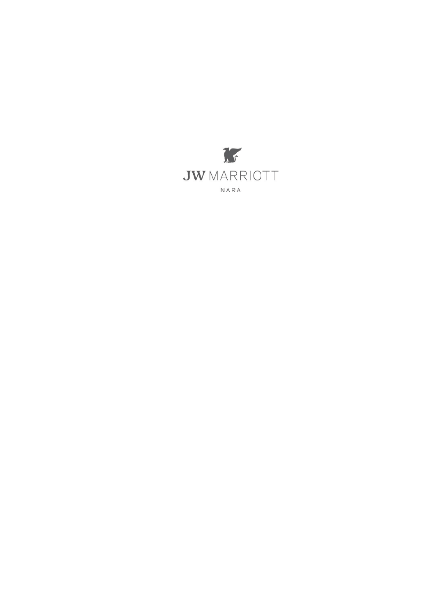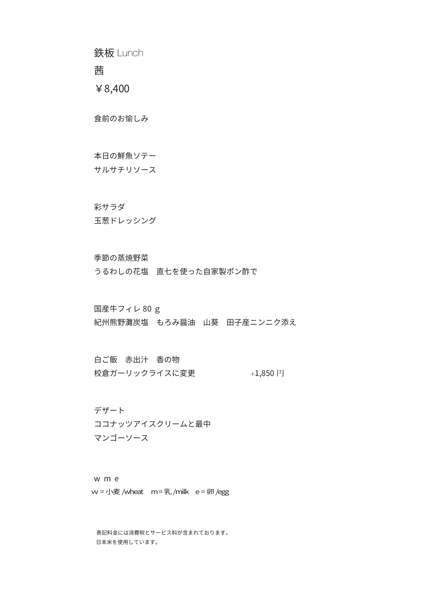鉄板 Lunch

茜

¥8,400

食前のお愉しみ

本日の鮮魚ソテー

サルサチリソース

#### 彩サラダ

玉葱ドレッシング

#### 季節の蒸焼野菜

うるわしの花塩 直七を使った自家製ポン酢で

## g 80 国産牛フィレ

紀州熊野灘炭塩 もろみ醤油 山葵 田子産ニンニク添え

白ご飯 赤出汁 香の物 校倉ガーリックライスに変更 +1,850 円

デザート ココナッツアイスクリームと最中 マンゴーソース

w m e w = 小麦 /wheat m = 乳 /milk e = 卵 /egg

。表記料金には消費税とサービス料が含まれております 。日本米を使用しています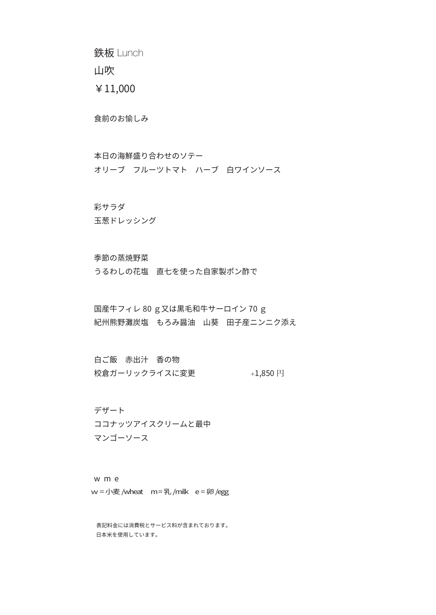鉄板 Lunch

山吹

¥11,000

食前のお愉しみ

本日の海鮮盛り合わせのソテー オリーブ フルーツトマト ハーブ 白ワインソース

### 彩サラダ

玉葱ドレッシング

### 季節の蒸焼野菜

うるわしの花塩 直七を使った自家製ポン酢で

国産牛フィレ 80 g又は黒毛和牛サーロイン 70 g 紀州熊野灘炭塩 もろみ醤油 山葵 田子産ニンニク添え

白ご飯 赤出汁 香の物 校倉ガーリックライスに変更 +1,850 円

デザート ココナッツアイスクリームと最中 マンゴーソース

w m e  $w =$  小麦 /wheat  $m = 2$  /milk  $e = 9$  /egg

。表記料金には消費税とサービス料が含まれております 。日本米を使用しています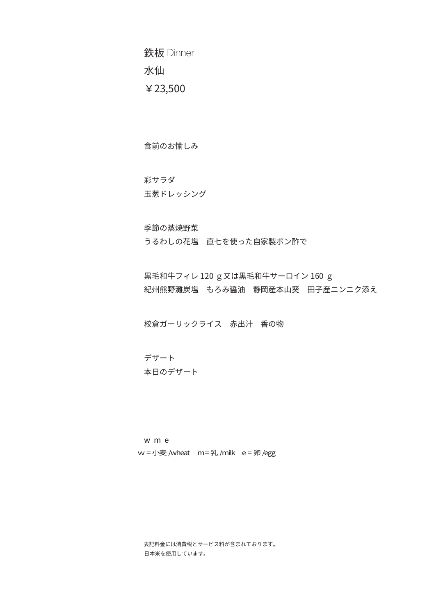鉄板 Dinner 水仙 ¥23,500

食前のお愉しみ

 彩サラダ 玉葱ドレッシング

季節の蒸焼野菜

うるわしの花塩 直七を使った自家製ポン酢で

黒毛和牛フィレ 120 g又は黒毛和牛サーロイン 160 g 紀州熊野灘炭塩 もろみ醤油 静岡産本山葵 田子産ニンニク添え

校倉ガーリックライス 赤出汁 香の物

デザート 本日のデザート

w m e  $w =$  小麦 /wheat  $m = 2$  /milk  $e = 9$  /egg

表記料金には消費税とサービス料が含まれております。 。日本米を使用しています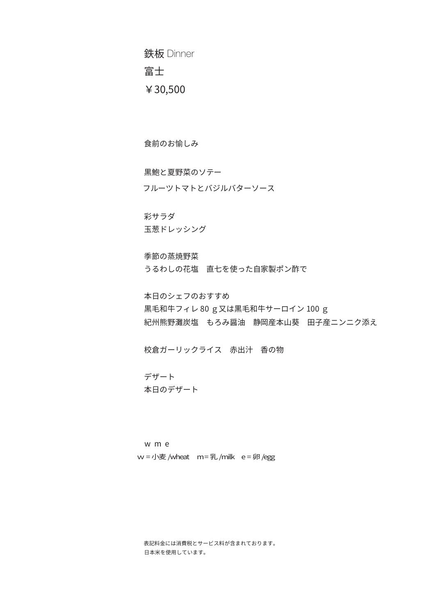鉄板 Dinner 富士 ¥30,500

食前のお愉しみ

黒鮑と夏野菜のソテー

フルーツトマトとバジルバターソース

 彩サラダ 玉葱ドレッシング

季節の蒸焼野菜 うるわしの花塩 直七を使った自家製ポン酢で

本日のシェフのおすすめ 黒毛和牛フィレ 80 g又は黒毛和牛サーロイン 100 g 紀州熊野灘炭塩 もろみ醤油 静岡産本山葵 田子産ニンニク添え

校倉ガーリックライス 赤出汁 香の物

デザート 本日のデザート

w m e  $w =$  小麦 /wheat  $m = 2$  /milk  $e = 9$  /egg

表記料金には消費税とサービス料が含まれております。 。日本米を使用しています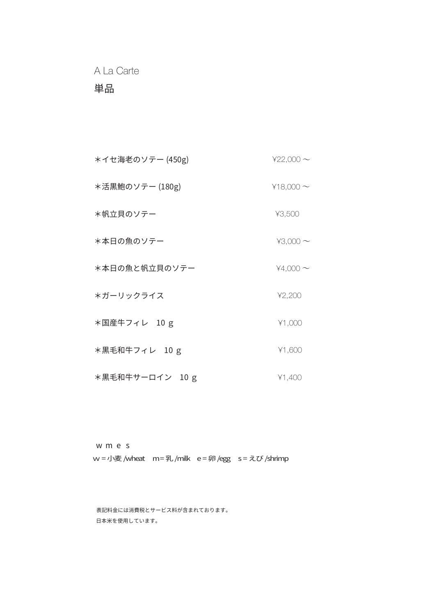A La Carte

# 単品

| *イセ海老のソテー (450g) | $422,000 \sim$ |
|------------------|----------------|
| *活黒鮑のソテー (180g)  | $418,000 \sim$ |
| *帆立貝のソテー         | ¥3,500         |
| *本日の魚のソテー        | $43,000 \sim$  |
| *本日の魚と帆立貝のソテー    | $44,000 \sim$  |
| *ガーリックライス        | 42,200         |
| *国産牛フィレ 10 g     | 41,000         |
| *黒毛和牛フィレ 10 g    | ¥1,600         |
| *黒毛和牛サーロイン 10 g  | 41,400         |

w m e s w = 小麦 /wheat m = 乳 /milk e = 卵 /egg s = えび /shrimp

。表記料金には消費税とサービス料が含まれております 。日本米を使用しています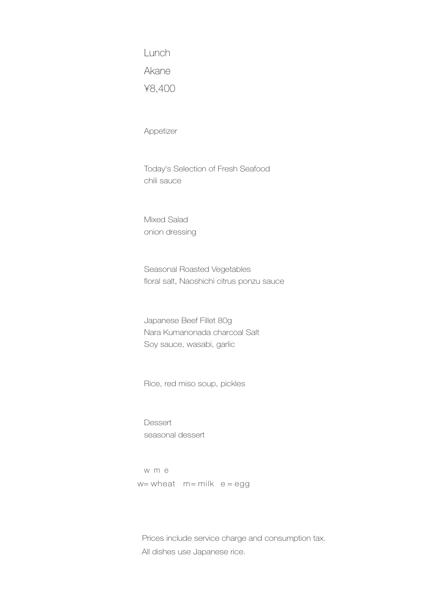Lunch Akane ¥8,400

Appetizer

Today's Selection of Fresh Seafood sauce chili

Mixed Salad onion dressing

Seasonal Roasted Vegetables floral salt, Naoshichi citrus ponzu sauce

Japanese Beef Fillet 80g Nara Kumanonada charcoal Salt Soy sauce, wasabi, garlic

Rice, red miso soup, pickles

Dessert seasonal dessert

w m e  $w =$  wheat  $m =$  milk  $e =$  egg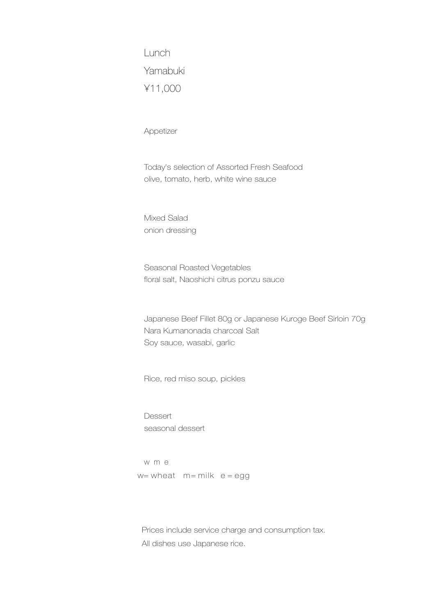Lunch Yamabuki ¥11,000

Appetizer

Today's selection of Assorted Fresh Seafood olive, tomato, herb, white wine sauce

Mixed Salad onion dressing

Seasonal Roasted Vegetables floral salt, Naoshichi citrus ponzu sauce

Japanese Beef Fillet 80g or Japanese Kuroge Beef Sirloin 70g Nara Kumanonada charcoal Salt Soy sauce, wasabi, garlic

Rice, red miso soup, pickles

**Dessert** seasonal dessert

w m e  $w =$  wheat  $m =$  milk  $e =$  egg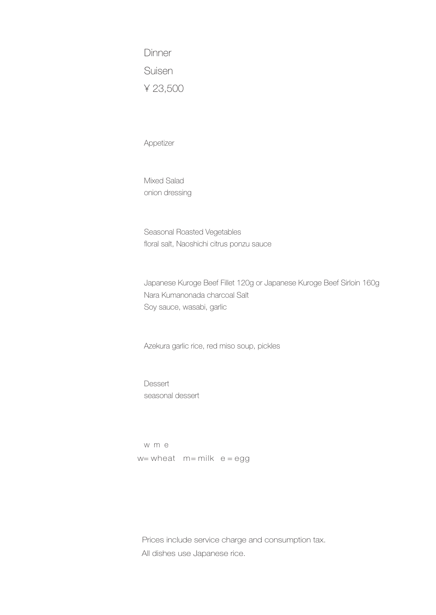Dinner Suisen 23,500 ¥

Appetizer

Mixed Salad onion dressing

Seasonal Roasted Vegetables floral salt, Naoshichi citrus ponzu sauce

Japanese Kuroge Beef Fillet 120g or Japanese Kuroge Beef Sirloin 160g Nara Kumanonada charcoal Salt Soy sauce, wasabi, garlic

Azekura garlic rice, red miso soup, pickles

**Dessert** seasonal dessert

w m e  $w =$  wheat  $m =$  milk  $e =$  egg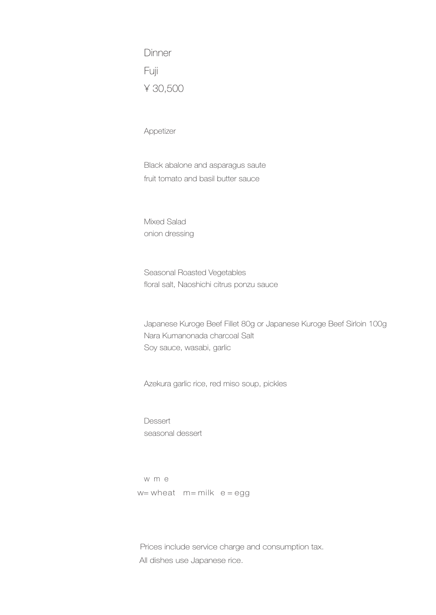Dinner Fuji 30,500 ¥

Appetizer

Black abalone and asparagus saute fruit tomato and basil butter sauce

Mixed Salad onion dressing

Seasonal Roasted Vegetables floral salt, Naoshichi citrus ponzu sauce

Japanese Kuroge Beef Fillet 80g or Japanese Kuroge Beef Sirloin 100g Nara Kumanonada charcoal Salt Soy sauce, wasabi, garlic

Azekura garlic rice, red miso soup, pickles

**Dessert** seasonal dessert

w m e  $w =$  wheat  $m =$  milk  $e =$  egg